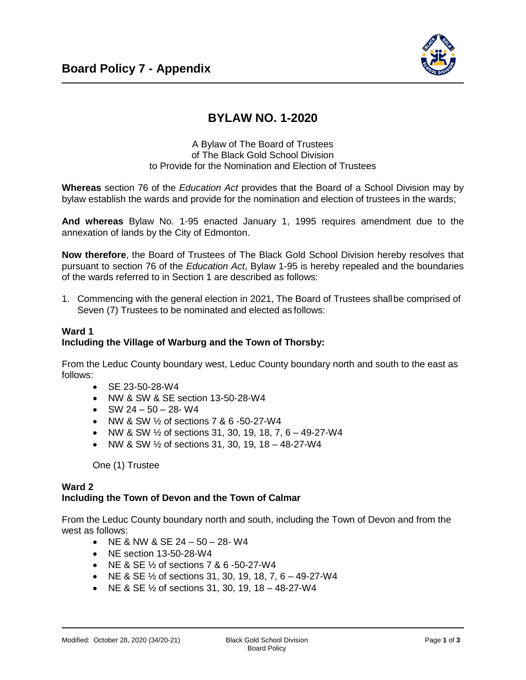

# **BYLAW NO. 1-2020**

## A Bylaw of The Board of Trustees of The Black Gold School Division to Provide for the Nomination and Election of Trustees

**Whereas** section 76 of the *Education Act* provides that the Board of a School Division may by bylaw establish the wards and provide for the nomination and election of trustees in the wards;

**And whereas** Bylaw No. 1-95 enacted January 1, 1995 requires amendment due to the annexation of lands by the City of Edmonton.

**Now therefore**, the Board of Trustees of The Black Gold School Division hereby resolves that pursuant to section 76 of the *Education Act*, Bylaw 1-95 is hereby repealed and the boundaries of the wards referred to in Section 1 are described as follows:

1. Commencing with the general election in 2021, The Board of Trustees shallbe comprised of Seven (7) Trustees to be nominated and elected as follows:

## **Ward 1 Including the Village of Warburg and the Town of Thorsby:**

From the Leduc County boundary west, Leduc County boundary north and south to the east as follows:

- SE 23-50-28-W4
- NW & SW & SE section 13-50-28-W4
- $\bullet$  SW 24 50 28- W4
- NW & SW 1/2 of sections 7 & 6 -50-27-W4
- NW & SW  $\frac{1}{2}$  of sections 31, 30, 19, 18, 7, 6 49-27-W4
- NW & SW  $\frac{1}{2}$  of sections 31, 30, 19, 18 48-27-W4

One (1) Trustee

### **Ward 2 Including the Town of Devon and the Town of Calmar**

From the Leduc County boundary north and south, including the Town of Devon and from the west as follows:

- NE & NW & SE  $24 50 28 W4$
- NE section 13-50-28-W4
- NE & SE  $\frac{1}{2}$  of sections 7 & 6 -50-27-W4
- NE & SE  $\frac{1}{2}$  of sections 31, 30, 19, 18, 7, 6 49-27-W4
- NE & SE  $\frac{1}{2}$  of sections 31, 30, 19, 18 48-27-W4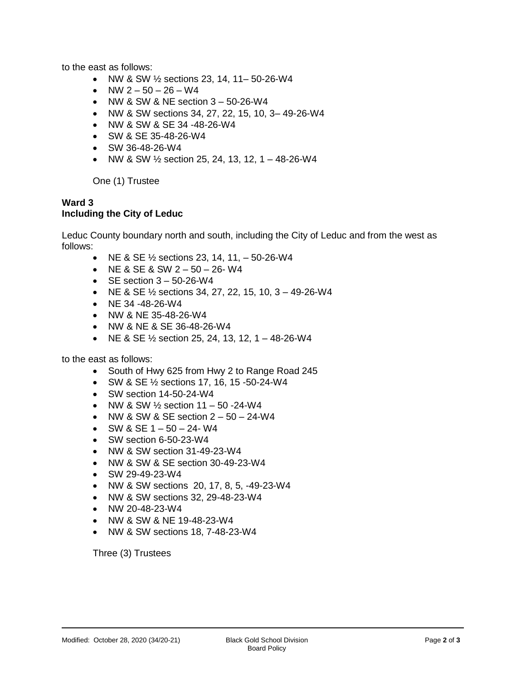to the east as follows:

- NW & SW 1/2 sections 23, 14, 11–50-26-W4
- NW  $2 50 26 W4$
- $\bullet$  NW & SW & NE section 3 50-26-W4
- NW & SW sections 34, 27, 22, 15, 10, 3– 49-26-W4
- NW & SW & SE 34 -48-26-W4
- SW & SE 35-48-26-W4
- SW 36-48-26-W4
- NW & SW  $\frac{1}{2}$  section 25, 24, 13, 12, 1 48-26-W4

One (1) Trustee

#### **Ward 3 Including the City of Leduc**

Leduc County boundary north and south, including the City of Leduc and from the west as follows:

- NE & SE  $\frac{1}{2}$  sections 23, 14, 11,  $-$  50-26-W4
- $\bullet$  NE & SE & SW 2 50 26-W4
- $\bullet$  SE section  $3 50 26 W4$
- NE & SE  $\frac{1}{2}$  sections 34, 27, 22, 15, 10, 3 49-26-W4
- $\bullet$  NE 34 -48-26-W4
- NW & NE 35-48-26-W4
- NW & NE & SE 36-48-26-W4
- NE & SE  $\frac{1}{2}$  section 25, 24, 13, 12, 1 48-26-W4

to the east as follows:

- South of Hwy 625 from Hwy 2 to Range Road 245
- SW & SE ½ sections 17, 16, 15 -50-24-W4
- SW section 14-50-24-W4
- NW & SW  $\frac{1}{2}$  section 11 50 -24-W4
- $\bullet$  NW & SW & SE section  $2 50 24 W4$
- $\bullet$  SW & SE 1 50 24- W4
- SW section 6-50-23-W4
- NW & SW section 31-49-23-W4
- NW & SW & SE section 30-49-23-W4
- SW 29-49-23-W4
- NW & SW sections 20, 17, 8, 5, -49-23-W4
- NW & SW sections 32, 29-48-23-W4
- NW 20-48-23-W4
- NW & SW & NE 19-48-23-W4
- NW & SW sections 18, 7-48-23-W4

Three (3) Trustees